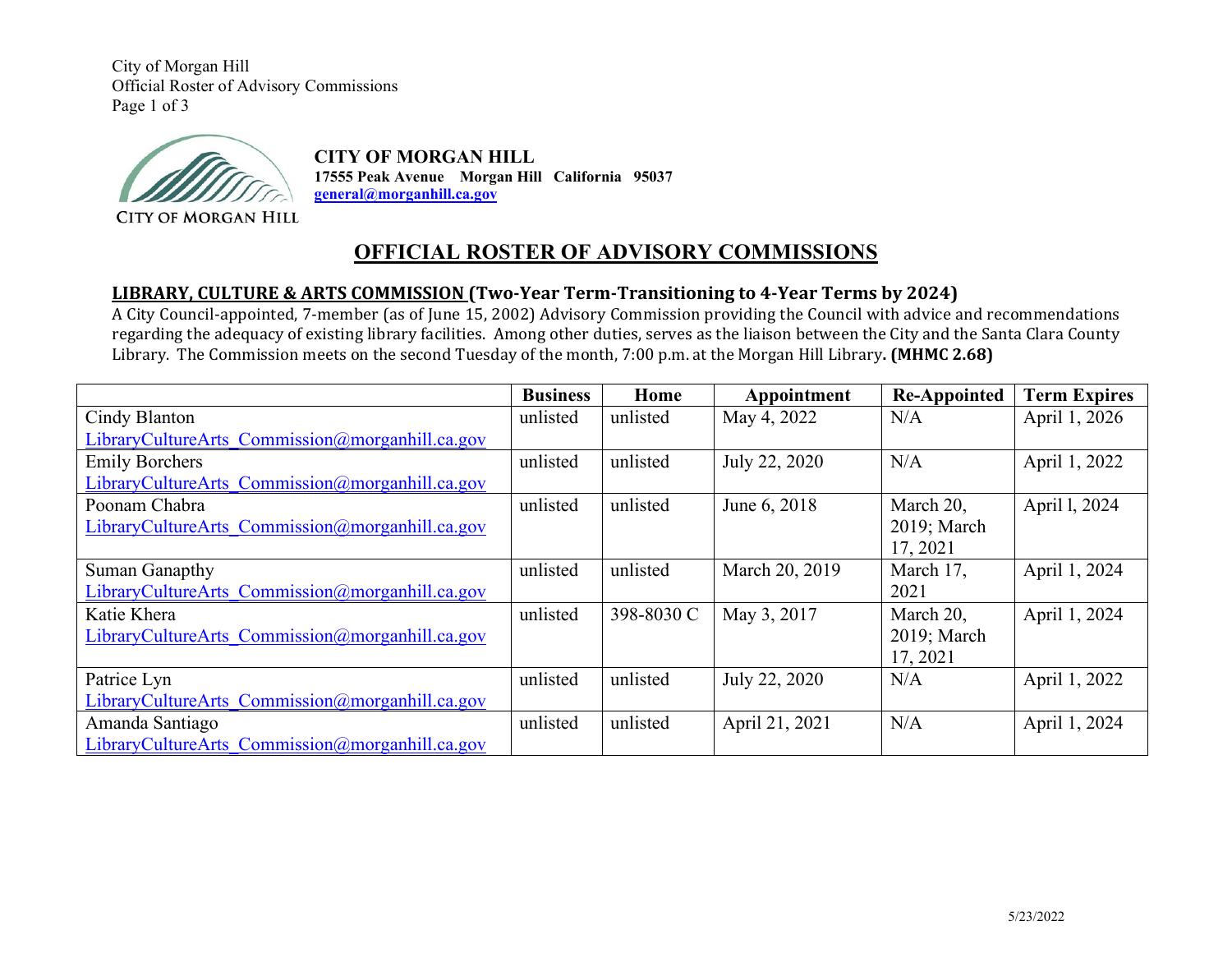City of Morgan Hill Official Roster of Advisory Commissions Page 1 of 3



**CITY OF MORGAN HILL 17555 Peak Avenue Morgan Hill California 95037 general@morganhill.ca.gov**

**CITY OF MORGAN HILL** 

# **OFFICIAL ROSTER OF ADVISORY COMMISSIONS**

### **LIBRARY, CULTURE & ARTS COMMISSION (Two-Year Term-Transitioning to 4-Year Terms by 2024)**

A City Council-appointed, 7-member (as of June 15, 2002) Advisory Commission providing the Council with advice and recommendations regarding the adequacy of existing library facilities. Among other duties, serves as the liaison between the City and the Santa Clara County Library. The Commission meets on the second Tuesday of the month, 7:00 p.m. at the Morgan Hill Library**. (MHMC 2.68)**

|                                                 | <b>Business</b> | Home       | Appointment    | <b>Re-Appointed</b> | <b>Term Expires</b> |
|-------------------------------------------------|-----------------|------------|----------------|---------------------|---------------------|
| Cindy Blanton                                   | unlisted        | unlisted   | May 4, 2022    | N/A                 | April 1, 2026       |
| LibraryCultureArts Commission@morganhill.ca.gov |                 |            |                |                     |                     |
| <b>Emily Borchers</b>                           | unlisted        | unlisted   | July 22, 2020  | N/A                 | April 1, 2022       |
| LibraryCultureArts Commission@morganhill.ca.gov |                 |            |                |                     |                     |
| Poonam Chabra                                   | unlisted        | unlisted   | June 6, 2018   | March 20,           | April 1, 2024       |
| LibraryCultureArts Commission@morganhill.ca.gov |                 |            |                | 2019; March         |                     |
|                                                 |                 |            |                | 17, 2021            |                     |
| Suman Ganapthy                                  | unlisted        | unlisted   | March 20, 2019 | March 17,           | April 1, 2024       |
| LibraryCultureArts Commission@morganhill.ca.gov |                 |            |                | 2021                |                     |
| Katie Khera                                     | unlisted        | 398-8030 C | May 3, 2017    | March 20,           | April 1, 2024       |
| LibraryCultureArts Commission@morganhill.ca.gov |                 |            |                | 2019; March         |                     |
|                                                 |                 |            |                | 17, 2021            |                     |
| Patrice Lyn                                     | unlisted        | unlisted   | July 22, 2020  | N/A                 | April 1, 2022       |
| LibraryCultureArts Commission@morganhill.ca.gov |                 |            |                |                     |                     |
| Amanda Santiago                                 | unlisted        | unlisted   | April 21, 2021 | N/A                 | April 1, 2024       |
| LibraryCultureArts Commission@morganhill.ca.gov |                 |            |                |                     |                     |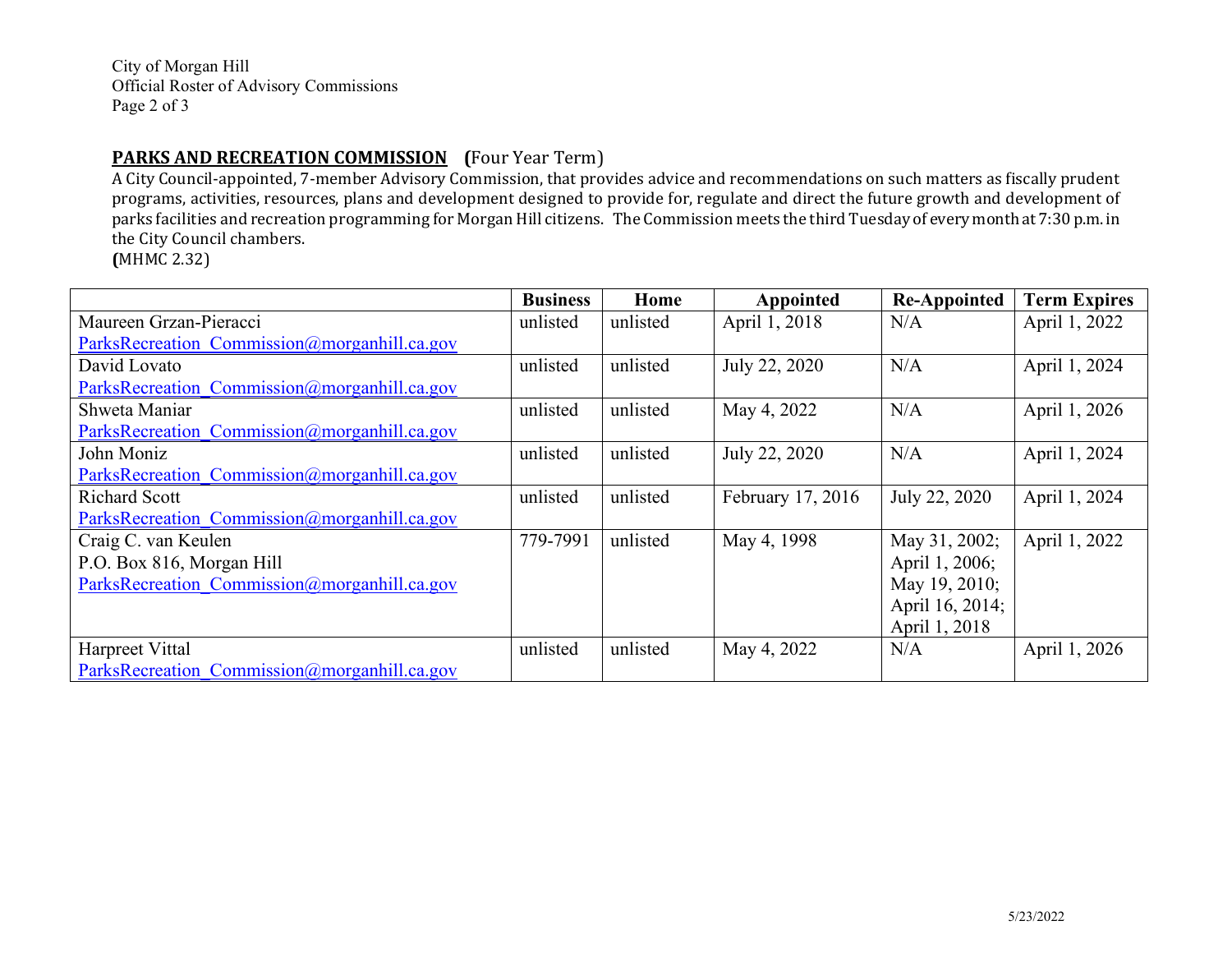City of Morgan Hill Official Roster of Advisory Commissions Page 2 of 3

### **PARKS AND RECREATION COMMISSION (**Four Year Term)

A City Council-appointed, 7-member Advisory Commission, that provides advice and recommendations on such matters as fiscally prudent programs, activities, resources, plans and development designed to provide for, regulate and direct the future growth and development of parks facilities and recreation programming for Morgan Hill citizens. The Commission meets the third Tuesday of every month at 7:30 p.m. in the City Council chambers.

**(**MHMC 2.32)

|                                              | <b>Business</b> | Home     | Appointed         | <b>Re-Appointed</b> | <b>Term Expires</b> |
|----------------------------------------------|-----------------|----------|-------------------|---------------------|---------------------|
| Maureen Grzan-Pieracci                       | unlisted        | unlisted | April 1, 2018     | N/A                 | April 1, 2022       |
| ParksRecreation Commission@morganhill.ca.gov |                 |          |                   |                     |                     |
| David Lovato                                 | unlisted        | unlisted | July 22, 2020     | N/A                 | April 1, 2024       |
| ParksRecreation Commission@morganhill.ca.gov |                 |          |                   |                     |                     |
| Shweta Maniar                                | unlisted        | unlisted | May 4, 2022       | N/A                 | April 1, 2026       |
| ParksRecreation Commission@morganhill.ca.gov |                 |          |                   |                     |                     |
| John Moniz                                   | unlisted        | unlisted | July 22, 2020     | N/A                 | April 1, 2024       |
| ParksRecreation Commission@morganhill.ca.gov |                 |          |                   |                     |                     |
| <b>Richard Scott</b>                         | unlisted        | unlisted | February 17, 2016 | July 22, 2020       | April 1, 2024       |
| ParksRecreation Commission@morganhill.ca.gov |                 |          |                   |                     |                     |
| Craig C. van Keulen                          | 779-7991        | unlisted | May 4, 1998       | May 31, 2002;       | April 1, 2022       |
| P.O. Box 816, Morgan Hill                    |                 |          |                   | April 1, 2006;      |                     |
| ParksRecreation Commission@morganhill.ca.gov |                 |          |                   | May 19, 2010;       |                     |
|                                              |                 |          |                   | April 16, 2014;     |                     |
|                                              |                 |          |                   | April 1, 2018       |                     |
| Harpreet Vittal                              | unlisted        | unlisted | May 4, 2022       | N/A                 | April 1, 2026       |
| ParksRecreation Commission@morganhill.ca.gov |                 |          |                   |                     |                     |